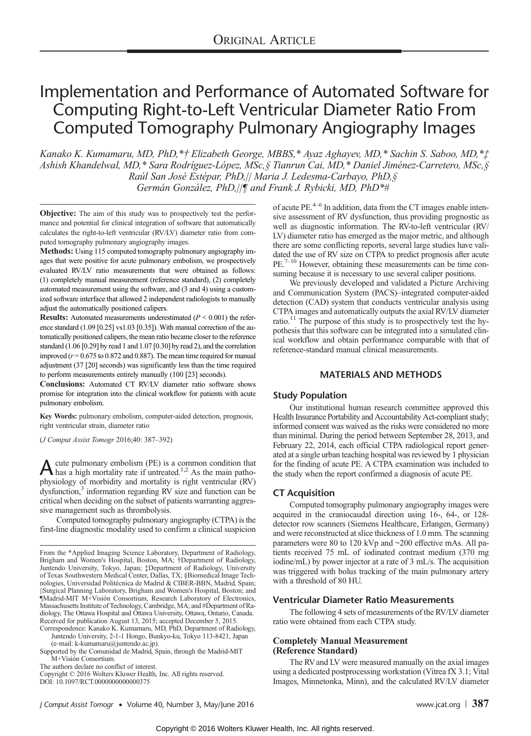# Implementation and Performance of Automated Software for Computing Right-to-Left Ventricular Diameter Ratio From Computed Tomography Pulmonary Angiography Images

Kanako K. Kumamaru, MD, PhD,\*† Elizabeth George, MBBS,\* Ayaz Aghayev, MD,\* Sachin S. Saboo, MD,\*‡ Ashish Khandelwal, MD,\* Sara Rodríguez-López, MSc,§ Tianrun Cai, MD,\* Daniel Jiménez-Carretero, MSc,§ Raúl San José Estépar, PhD,|| Maria J. Ledesma-Carbayo, PhD,§ Germán González, PhD,||¶ and Frank J. Rybicki, MD, PhD\*#

**Objective:** The aim of this study was to prospectively test the performance and potential for clinical integration of software that automatically calculates the right-to-left ventricular (RV/LV) diameter ratio from computed tomography pulmonary angiography images.

Methods: Using 115 computed tomography pulmonary angiography images that were positive for acute pulmonary embolism, we prospectively evaluated RV/LV ratio measurements that were obtained as follows: (1) completely manual measurement (reference standard), (2) completely automated measurement using the software, and (3 and 4) using a customized software interface that allowed 2 independent radiologists to manually adjust the automatically positioned calipers.

**Results:** Automated measurements underestimated  $(P < 0.001)$  the reference standard (1.09 [0.25] vs1.03 [0.35]). With manual correction of the automatically positioned calipers, the mean ratio became closer to the reference standard (1.06 [0.29] by read 1 and 1.07 [0.30] by read 2), and the correlation improved  $(r = 0.675 \text{ to } 0.872 \text{ and } 0.887)$ . The mean time required for manual adjustment (37 [20] seconds) was significantly less than the time required to perform measurements entirely manually (100 [23] seconds).

Conclusions: Automated CT RV/LV diameter ratio software shows promise for integration into the clinical workflow for patients with acute pulmonary embolism.

Key Words: pulmonary embolism, computer-aided detection, prognosis, right ventricular strain, diameter ratio

(J Comput Assist Tomogr 2016;40: 387–392)

A cute pulmonary embolism (PE) is a common condition that has a high mortality rate if untreated.<sup>1,2</sup> As the main pathophysiology of morbidity and mortality is right ventricular (RV) dysfunction,<sup>3</sup> information regarding RV size and function can be critical when deciding on the subset of patients warranting aggressive management such as thrombolysis.

Computed tomography pulmonary angiography (CTPA) is the first-line diagnostic modality used to confirm a clinical suspicion

The authors declare no conflict of interest.

Copyright © 2016 Wolters Kluwer Health, Inc. All rights reserved. DOI: 10.1097/RCT.0000000000000375

of acute  $PE<sup>4–6</sup>$  In addition, data from the CT images enable intensive assessment of RV dysfunction, thus providing prognostic as well as diagnostic information. The RV-to-left ventricular (RV/ LV) diameter ratio has emerged as the major metric, and although there are some conflicting reports, several large studies have validated the use of RV size on CTPA to predict prognosis after acute PE.<sup>7-10</sup> However, obtaining these measurements can be time consuming because it is necessary to use several caliper positions.

We previously developed and validated a Picture Archiving and Communication System (PACS)–integrated computer-aided detection (CAD) system that conducts ventricular analysis using CTPA images and automatically outputs the axial RV/LV diameter ratio. $11$  The purpose of this study is to prospectively test the hypothesis that this software can be integrated into a simulated clinical workflow and obtain performance comparable with that of reference-standard manual clinical measurements.

# MATERIALS AND METHODS

## Study Population

Our institutional human research committee approved this Health Insurance Portability and Accountability Act-compliant study; informed consent was waived as the risks were considered no more than minimal. During the period between September 28, 2013, and February 22, 2014, each official CTPA radiological report generated at a single urban teaching hospital was reviewed by 1 physician for the finding of acute PE. A CTPA examination was included to the study when the report confirmed a diagnosis of acute PE.

## CT Acquisition

Computed tomography pulmonary angiography images were acquired in the craniocaudal direction using 16-, 64-, or 128 detector row scanners (Siemens Healthcare, Erlangen, Germany) and were reconstructed at slice thickness of 1.0 mm. The scanning parameters were 80 to 120 kVp and ~200 effective mAs. All patients received 75 mL of iodinated contrast medium (370 mg iodine/mL) by power injector at a rate of 3 mL/s. The acquisition was triggered with bolus tracking of the main pulmonary artery with a threshold of 80 HU.

## Ventricular Diameter Ratio Measurements

The following 4 sets of measurements of the RV/LV diameter ratio were obtained from each CTPA study.

## Completely Manual Measurement (Reference Standard)

The RV and LV were measured manually on the axial images using a dedicated postprocessing workstation (Vitrea fX 3.1; Vital Images, Minnetonka, Minn), and the calculated RV/LV diameter

From the \*Applied Imaging Science Laboratory, Department of Radiology, Brigham and Women's Hospital, Boston, MA; †Department of Radiology, Juntendo University, Tokyo, Japan; ‡Department of Radiology, University of Texas Southwestern Medical Center, Dallas, TX; §Biomedical Image Technologies, Universidad Politécnica de Madrid & CIBER-BBN, Madrid, Spain; ||Surgical Planning Laboratory, Brigham and Women's Hospital, Boston; and ¶Madrid-MIT M+Visión Consortium, Research Laboratory of Electronics, Massachusetts Institute of Technology, Cambridge, MA; and #Department of Radiology, The Ottawa Hospital and Ottawa University, Ottawa, Ontario, Canada. Received for publication August 13, 2015; accepted December 5, 2015.

Correspondence: Kanako K. Kumamaru, MD, PhD, Department of Radiology, Juntendo University, 2-1-1 Hongo, Bunkyo-ku, Tokyo 113-8421, Japan (e‐mail: [k-kumamaru@juntendo.ac.jp](mailto:k-kumamaru@juntendo.ac.jp)).

Supported by the Comunidad de Madrid, Spain, through the Madrid-MIT M+Visión Consortium.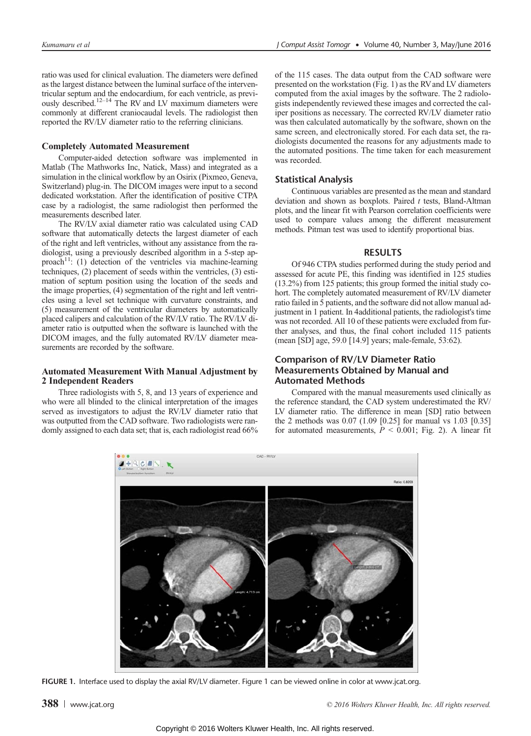ratio was used for clinical evaluation. The diameters were defined as the largest distance between the luminal surface of the interventricular septum and the endocardium, for each ventricle, as previously described.<sup>12–14</sup> The RV and LV maximum diameters were commonly at different craniocaudal levels. The radiologist then reported the RV/LV diameter ratio to the referring clinicians.

#### Completely Automated Measurement

Computer-aided detection software was implemented in Matlab (The Mathworks Inc, Natick, Mass) and integrated as a simulation in the clinical workflow by an Osirix (Pixmeo, Geneva, Switzerland) plug-in. The DICOM images were input to a second dedicated workstation. After the identification of positive CTPA case by a radiologist, the same radiologist then performed the measurements described later.

The RV/LV axial diameter ratio was calculated using CAD software that automatically detects the largest diameter of each of the right and left ventricles, without any assistance from the radiologist, using a previously described algorithm in a 5-step approach<sup>11</sup>: (1) detection of the ventricles via machine-learning techniques, (2) placement of seeds within the ventricles, (3) estimation of septum position using the location of the seeds and the image properties, (4) segmentation of the right and left ventricles using a level set technique with curvature constraints, and (5) measurement of the ventricular diameters by automatically placed calipers and calculation of the RV/LV ratio. The RV/LV diameter ratio is outputted when the software is launched with the DICOM images, and the fully automated RV/LV diameter measurements are recorded by the software.

#### Automated Measurement With Manual Adjustment by 2 Independent Readers

Three radiologists with 5, 8, and 13 years of experience and who were all blinded to the clinical interpretation of the images served as investigators to adjust the RV/LV diameter ratio that was outputted from the CAD software. Two radiologists were randomly assigned to each data set; that is, each radiologist read 66%

of the 115 cases. The data output from the CAD software were presented on the workstation (Fig. 1) as the RVand LV diameters computed from the axial images by the software. The 2 radiologists independently reviewed these images and corrected the caliper positions as necessary. The corrected RV/LV diameter ratio was then calculated automatically by the software, shown on the same screen, and electronically stored. For each data set, the radiologists documented the reasons for any adjustments made to the automated positions. The time taken for each measurement was recorded.

# Statistical Analysis

Continuous variables are presented as the mean and standard deviation and shown as boxplots. Paired  $t$  tests, Bland-Altman plots, and the linear fit with Pearson correlation coefficients were used to compare values among the different measurement methods. Pitman test was used to identify proportional bias.

## RESULTS

Of 946 CTPA studies performed during the study period and assessed for acute PE, this finding was identified in 125 studies (13.2%) from 125 patients; this group formed the initial study cohort. The completely automated measurement of RV/LV diameter ratio failed in 5 patients, and the software did not allow manual adjustment in 1 patient. In 4additional patients, the radiologist's time was not recorded. All 10 of these patients were excluded from further analyses, and thus, the final cohort included 115 patients (mean [SD] age, 59.0 [14.9] years; male-female, 53:62).

# Comparison of RV/LV Diameter Ratio Measurements Obtained by Manual and Automated Methods

Compared with the manual measurements used clinically as the reference standard, the CAD system underestimated the RV/ LV diameter ratio. The difference in mean [SD] ratio between the 2 methods was 0.07 (1.09 [0.25] for manual vs 1.03 [0.35] for automated measurements,  $P < 0.001$ ; Fig. 2). A linear fit



FIGURE 1. Interface used to display the axial RV/LV diameter. Figure 1 can be viewed online in color at [www.jcat.org.](www.jcat.org)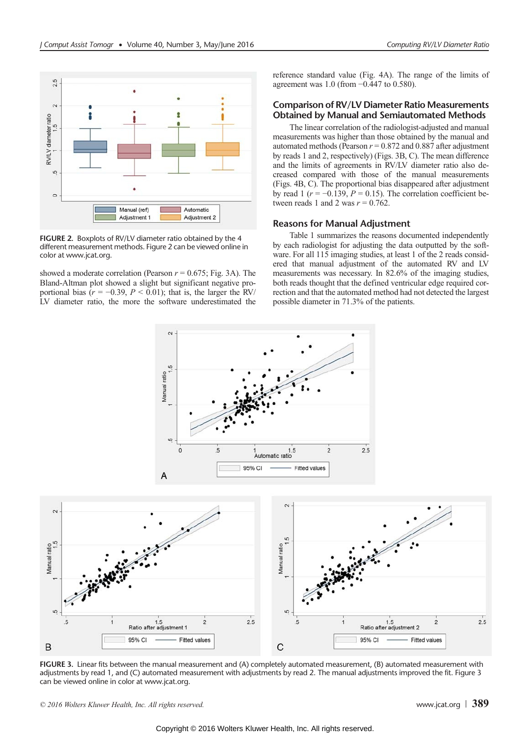

FIGURE 2. Boxplots of RV/LV diameter ratio obtained by the 4 different measurement methods. Figure 2 can be viewed online in color at [www.jcat.org.](www.jcat.org)

showed a moderate correlation (Pearson  $r = 0.675$ ; Fig. 3A). The Bland-Altman plot showed a slight but significant negative proportional bias ( $r = -0.39$ ,  $P \le 0.01$ ); that is, the larger the RV/ LV diameter ratio, the more the software underestimated the reference standard value (Fig. 4A). The range of the limits of agreement was 1.0 (from −0.447 to 0.580).

# Comparison of RV/LV Diameter Ratio Measurements Obtained by Manual and Semiautomated Methods

The linear correlation of the radiologist-adjusted and manual measurements was higher than those obtained by the manual and automated methods (Pearson  $r = 0.872$  and 0.887 after adjustment by reads 1 and 2, respectively) (Figs. 3B, C). The mean difference and the limits of agreements in RV/LV diameter ratio also decreased compared with those of the manual measurements (Figs. 4B, C). The proportional bias disappeared after adjustment by read 1 ( $r = -0.139$ ,  $P = 0.15$ ). The correlation coefficient between reads 1 and 2 was  $r = 0.762$ .

## Reasons for Manual Adjustment

Table 1 summarizes the reasons documented independently by each radiologist for adjusting the data outputted by the software. For all 115 imaging studies, at least 1 of the 2 reads considered that manual adjustment of the automated RV and LV measurements was necessary. In 82.6% of the imaging studies, both reads thought that the defined ventricular edge required correction and that the automated method had not detected the largest possible diameter in 71.3% of the patients.



FIGURE 3. Linear fits between the manual measurement and (A) completely automated measurement, (B) automated measurement with adjustments by read 1, and (C) automated measurement with adjustments by read 2. The manual adjustments improved the fit. Figure 3 can be viewed online in color at [www.jcat.org.](www.jcat.org)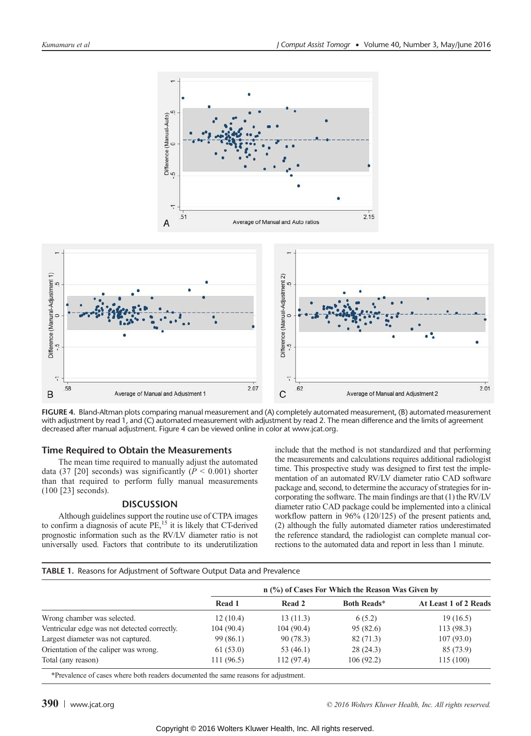

FIGURE 4. Bland-Altman plots comparing manual measurement and (A) completely automated measurement, (B) automated measurement with adjustment by read 1, and (C) automated measurement with adjustment by read 2. The mean difference and the limits of agreement decreased after manual adjustment. Figure 4 can be viewed online in color at [www.jcat.org.](www.jcat.org)

## Time Required to Obtain the Measurements

The mean time required to manually adjust the automated data (37 [20] seconds) was significantly ( $P < 0.001$ ) shorter than that required to perform fully manual measurements (100 [23] seconds).

#### DISCUSSION

Although guidelines support the routine use of CTPA images to confirm a diagnosis of acute  $PE<sub>15</sub>$  it is likely that CT-derived prognostic information such as the RV/LV diameter ratio is not universally used. Factors that contribute to its underutilization include that the method is not standardized and that performing the measurements and calculations requires additional radiologist time. This prospective study was designed to first test the implementation of an automated RV/LV diameter ratio CAD software package and, second, to determine the accuracy of strategies for incorporating the software. The main findings are that (1) the RV/LV diameter ratio CAD package could be implemented into a clinical workflow pattern in 96% (120/125) of the present patients and, (2) although the fully automated diameter ratios underestimated the reference standard, the radiologist can complete manual corrections to the automated data and report in less than 1 minute.

#### TABLE 1. Reasons for Adjustment of Software Output Data and Prevalence

|                                              | n (%) of Cases For Which the Reason Was Given by |             |                    |                       |
|----------------------------------------------|--------------------------------------------------|-------------|--------------------|-----------------------|
|                                              | Read 1                                           | Read 2      | <b>Both Reads*</b> | At Least 1 of 2 Reads |
| Wrong chamber was selected.                  | 12(10.4)                                         | 13(11.3)    | 6(5.2)             | 19(16.5)              |
| Ventricular edge was not detected correctly. | 104(90.4)                                        | 104(90.4)   | 95 (82.6)          | 113 (98.3)            |
| Largest diameter was not captured.           | 99(86.1)                                         | 90(78.3)    | 82(71.3)           | 107(93.0)             |
| Orientation of the caliper was wrong.        | 61(53.0)                                         | 53 $(46.1)$ | 28(24.3)           | 85 (73.9)             |
| Total (any reason)                           | 111(96.5)                                        | 112(97.4)   | 106(92.2)          | 115(100)              |

\*Prevalence of cases where both readers documented the same reasons for adjustment.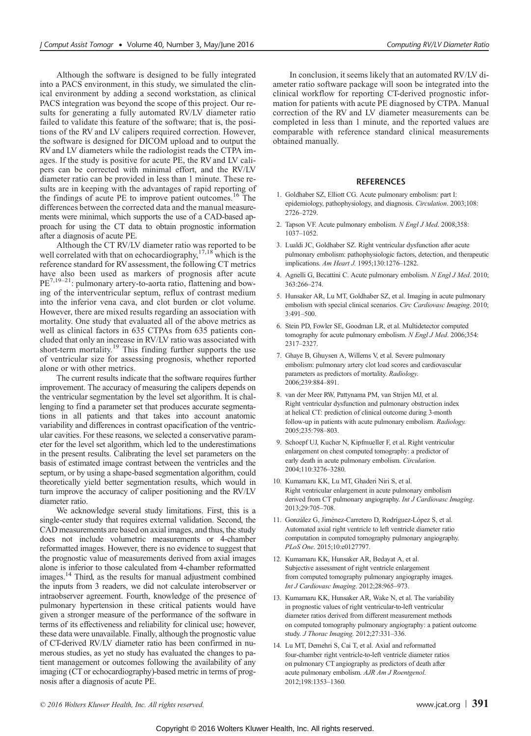Although the software is designed to be fully integrated into a PACS environment, in this study, we simulated the clinical environment by adding a second workstation, as clinical PACS integration was beyond the scope of this project. Our results for generating a fully automated RV/LV diameter ratio failed to validate this feature of the software; that is, the positions of the RV and LV calipers required correction. However, the software is designed for DICOM upload and to output the RV and LV diameters while the radiologist reads the CTPA images. If the study is positive for acute PE, the RV and LV calipers can be corrected with minimal effort, and the RV/LV diameter ratio can be provided in less than 1 minute. These results are in keeping with the advantages of rapid reporting of the findings of acute PE to improve patient outcomes.<sup>16</sup> The differences between the corrected data and the manual measurements were minimal, which supports the use of a CAD-based approach for using the CT data to obtain prognostic information after a diagnosis of acute PE.

Although the CT RV/LV diameter ratio was reported to be well correlated with that on echocardiography,  $17,18$  which is the reference standard for RV assessment, the following CT metrics have also been used as markers of prognosis after acute PE<sup>7,19–21</sup>: pulmonary artery-to-aorta ratio, flattening and bowing of the interventricular septum, reflux of contrast medium into the inferior vena cava, and clot burden or clot volume. However, there are mixed results regarding an association with mortality. One study that evaluated all of the above metrics as well as clinical factors in 635 CTPAs from 635 patients concluded that only an increase in RV/LV ratio was associated with short-term mortality.<sup>19</sup> This finding further supports the use of ventricular size for assessing prognosis, whether reported alone or with other metrics.

The current results indicate that the software requires further improvement. The accuracy of measuring the calipers depends on the ventricular segmentation by the level set algorithm. It is challenging to find a parameter set that produces accurate segmentations in all patients and that takes into account anatomic variability and differences in contrast opacification of the ventricular cavities. For these reasons, we selected a conservative parameter for the level set algorithm, which led to the underestimations in the present results. Calibrating the level set parameters on the basis of estimated image contrast between the ventricles and the septum, or by using a shape-based segmentation algorithm, could theoretically yield better segmentation results, which would in turn improve the accuracy of caliper positioning and the RV/LV diameter ratio.

We acknowledge several study limitations. First, this is a single-center study that requires external validation. Second, the CAD measurements are based on axial images, and thus, the study does not include volumetric measurements or 4-chamber reformatted images. However, there is no evidence to suggest that the prognostic value of measurements derived from axial images alone is inferior to those calculated from 4-chamber reformatted images.<sup>14</sup> Third, as the results for manual adjustment combined the inputs from 3 readers, we did not calculate interobserver or intraobserver agreement. Fourth, knowledge of the presence of pulmonary hypertension in these critical patients would have given a stronger measure of the performance of the software in terms of its effectiveness and reliability for clinical use; however, these data were unavailable. Finally, although the prognostic value of CT-derived RV/LV diameter ratio has been confirmed in numerous studies, as yet no study has evaluated the changes to patient management or outcomes following the availability of any imaging (CT or echocardiography)-based metric in terms of prognosis after a diagnosis of acute PE.

In conclusion, it seems likely that an automated RV/LV diameter ratio software package will soon be integrated into the clinical workflow for reporting CT-derived prognostic information for patients with acute PE diagnosed by CTPA. Manual correction of the RV and LV diameter measurements can be completed in less than 1 minute, and the reported values are comparable with reference standard clinical measurements obtained manually.

#### **REFERENCES**

- 1. Goldhaber SZ, Elliott CG. Acute pulmonary embolism: part I: epidemiology, pathophysiology, and diagnosis. Circulation. 2003;108: 2726–2729.
- 2. Tapson VF. Acute pulmonary embolism. N Engl J Med. 2008;358: 1037–1052.
- 3. Lualdi JC, Goldhaber SZ. Right ventricular dysfunction after acute pulmonary embolism: pathophysiologic factors, detection, and therapeutic implications. Am Heart J. 1995;130:1276–1282.
- 4. Agnelli G, Becattini C. Acute pulmonary embolism. N Engl J Med. 2010; 363:266–274.
- 5. Hunsaker AR, Lu MT, Goldhaber SZ, et al. Imaging in acute pulmonary embolism with special clinical scenarios. Circ Cardiovasc Imaging. 2010; 3:491–500.
- 6. Stein PD, Fowler SE, Goodman LR, et al. Multidetector computed tomography for acute pulmonary embolism. N Engl J Med. 2006;354: 2317–2327.
- 7. Ghaye B, Ghuysen A, Willems V, et al. Severe pulmonary embolism: pulmonary artery clot load scores and cardiovascular parameters as predictors of mortality. Radiology. 2006;239:884–891.
- 8. van der Meer RW, Pattynama PM, van Strijen MJ, et al. Right ventricular dysfunction and pulmonary obstruction index at helical CT: prediction of clinical outcome during 3-month follow-up in patients with acute pulmonary embolism. Radiology. 2005;235:798–803.
- 9. Schoepf UJ, Kucher N, Kipfmueller F, et al. Right ventricular enlargement on chest computed tomography: a predictor of early death in acute pulmonary embolism. Circulation. 2004;110:3276–3280.
- 10. Kumamaru KK, Lu MT, Ghaderi Niri S, et al. Right ventricular enlargement in acute pulmonary embolism derived from CT pulmonary angiography. Int J Cardiovasc Imaging. 2013;29:705–708.
- 11. González G, Jiménez-Carretero D, Rodríguez-López S, et al. Automated axial right ventricle to left ventricle diameter ratio computation in computed tomography pulmonary angiography. PLoS One. 2015;10:e0127797.
- 12. Kumamaru KK, Hunsaker AR, Bedayat A, et al. Subjective assessment of right ventricle enlargement from computed tomography pulmonary angiography images. Int J Cardiovasc Imaging. 2012;28:965–973.
- 13. Kumamaru KK, Hunsaker AR, Wake N, et al. The variability in prognostic values of right ventricular-to-left ventricular diameter ratios derived from different measurement methods on computed tomography pulmonary angiography: a patient outcome study. J Thorac Imaging. 2012;27:331–336.
- 14. Lu MT, Demehri S, Cai T, et al. Axial and reformatted four-chamber right ventricle-to-left ventricle diameter ratios on pulmonary CT angiography as predictors of death after acute pulmonary embolism. AJR Am J Roentgenol. 2012;198:1353–1360.

© 2016 Wolters Kluwer Health, Inc. All rights reserved.  $\Box$  [www.jcat.org](http://www.jcat.org)  $\Box$  391